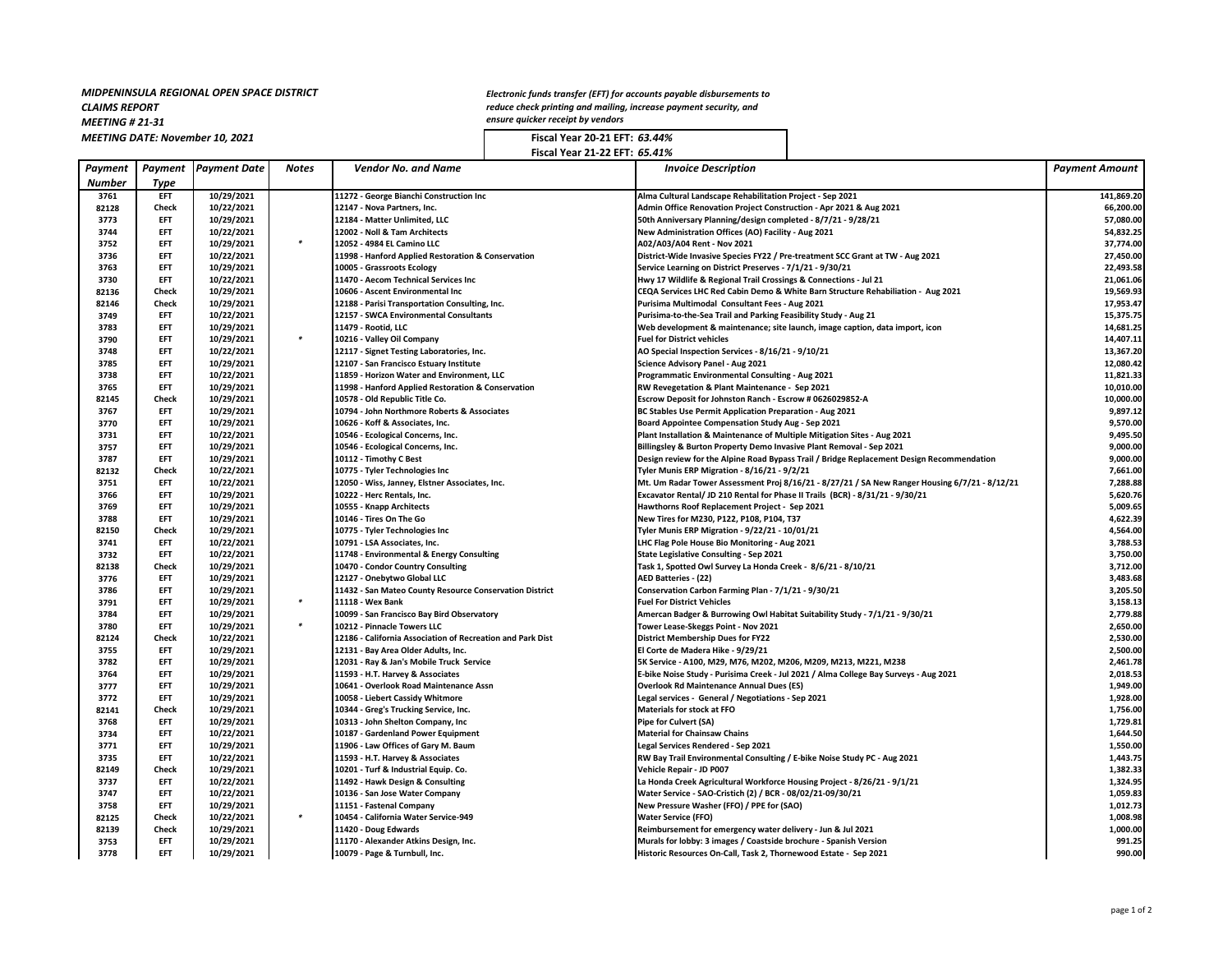## *MIDPENINSULA REGIONAL OPEN SPACE DISTRICT*

*CLAIMS REPORT*

*MEETING # 21-31*

*Electronic funds transfer (EFT) for accounts payable disbursements to reduce check printing and mailing, increase payment security, and ensure quicker receipt by vendors*

*MEETING DATE: November 10, 2021* **Fiscal Year 20-21 EFT:** *63.44%* **Fiscal Year 21-22 EFT:** *65.41%*

| Payment       | Payment      | <b>Payment Date</b> | Notes  | <b>Vendor No. and Name</b>                                 | <b>Invoice Description</b>                                                                    | <b>Payment Amount</b> |
|---------------|--------------|---------------------|--------|------------------------------------------------------------|-----------------------------------------------------------------------------------------------|-----------------------|
| <b>Number</b> | Type         |                     |        |                                                            |                                                                                               |                       |
| 3761          | EFT          | 10/29/2021          |        | 11272 - George Bianchi Construction Inc                    | Alma Cultural Landscape Rehabilitation Project - Sep 2021                                     | 141,869.20            |
| 82128         | Check        | 10/22/2021          |        | 12147 - Nova Partners, Inc.                                | Admin Office Renovation Project Construction - Apr 2021 & Aug 2021                            | 66,200.00             |
| 3773          | <b>EFT</b>   | 10/29/2021          |        | 12184 - Matter Unlimited, LLC                              | 50th Anniversary Planning/design completed - 8/7/21 - 9/28/21                                 | 57,080.00             |
| 3744          | EFT          | 10/22/2021          |        | 12002 - Noll & Tam Architects                              | New Administration Offices (AO) Facility - Aug 2021                                           | 54,832.25             |
| 3752          | EFT          | 10/29/2021          | $\ast$ | 12052 - 4984 EL Camino LLC                                 | A02/A03/A04 Rent - Nov 2021                                                                   | 37,774.00             |
| 3736          | <b>EFT</b>   | 10/22/2021          |        | 11998 - Hanford Applied Restoration & Conservation         | District-Wide Invasive Species FY22 / Pre-treatment SCC Grant at TW - Aug 2021                | 27,450.00             |
| 3763          | <b>EFT</b>   | 10/29/2021          |        | 10005 - Grassroots Ecology                                 | Service Learning on District Preserves - 7/1/21 - 9/30/21                                     | 22,493.58             |
| 3730          | <b>EFT</b>   | 10/22/2021          |        | 11470 - Aecom Technical Services Inc                       | Hwy 17 Wildlife & Regional Trail Crossings & Connections - Jul 21                             | 21,061.06             |
| 82136         | Check        | 10/29/2021          |        | 10606 - Ascent Environmental Inc                           | CEQA Services LHC Red Cabin Demo & White Barn Structure Rehabiliation - Aug 2021              | 19,569.93             |
| 82146         | Check        | 10/29/2021          |        | 12188 - Parisi Transportation Consulting, Inc.             | Purisima Multimodal Consultant Fees - Aug 2021                                                | 17,953.47             |
| 3749          | <b>EFT</b>   | 10/22/2021          |        | 12157 - SWCA Environmental Consultants                     | Purisima-to-the-Sea Trail and Parking Feasibility Study - Aug 21                              | 15,375.75             |
| 3783          | <b>EFT</b>   | 10/29/2021          |        | 11479 - Rootid, LLC                                        | Web development & maintenance; site launch, image caption, data import, icon                  | 14,681.25             |
| 3790          | <b>EFT</b>   | 10/29/2021          | $\ast$ | 10216 - Valley Oil Company                                 | <b>Fuel for District vehicles</b>                                                             | 14,407.11             |
| 3748          | EFT          | 10/22/2021          |        | 12117 - Signet Testing Laboratories, Inc.                  | AO Special Inspection Services - 8/16/21 - 9/10/21                                            | 13,367.20             |
| 3785          | EFT          | 10/29/2021          |        | 12107 - San Francisco Estuary Institute                    | Science Advisory Panel - Aug 2021                                                             | 12,080.42             |
| 3738          | <b>EFT</b>   |                     |        |                                                            |                                                                                               |                       |
|               |              | 10/22/2021          |        | 11859 - Horizon Water and Environment, LLC                 | Programmatic Environmental Consulting - Aug 2021                                              | 11,821.33             |
| 3765          | EFT          | 10/29/2021          |        | 11998 - Hanford Applied Restoration & Conservation         | RW Revegetation & Plant Maintenance - Sep 2021                                                | 10,010.00             |
| 82145         | Check        | 10/29/2021          |        | 10578 - Old Republic Title Co.                             | Escrow Deposit for Johnston Ranch - Escrow # 0626029852-A                                     | 10,000.00             |
| 3767          | <b>EFT</b>   | 10/29/2021          |        | 10794 - John Northmore Roberts & Associates                | BC Stables Use Permit Application Preparation - Aug 2021                                      | 9,897.12              |
| 3770          | <b>EFT</b>   | 10/29/2021          |        | 10626 - Koff & Associates, Inc.                            | Board Appointee Compensation Study Aug - Sep 2021                                             | 9,570.00              |
| 3731          | EFT          | 10/22/2021          |        | 10546 - Ecological Concerns, Inc.                          | Plant Installation & Maintenance of Multiple Mitigation Sites - Aug 2021                      | 9,495.50              |
| 3757          | <b>EFT</b>   | 10/29/2021          |        | 10546 - Ecological Concerns, Inc.                          | Billingsley & Burton Property Demo Invasive Plant Removal - Sep 2021                          | 9,000.00              |
| 3787          | <b>EFT</b>   | 10/29/2021          |        | 10112 - Timothy C Best                                     | Design review for the Alpine Road Bypass Trail / Bridge Replacement Design Recommendation     | 9,000.00              |
| 82132         | Check        | 10/22/2021          |        | 10775 - Tyler Technologies Inc                             | Tyler Munis ERP Migration - 8/16/21 - 9/2/21                                                  | 7,661.00              |
| 3751          | EFT          | 10/22/2021          |        | 12050 - Wiss, Janney, Elstner Associates, Inc.             | Mt. Um Radar Tower Assessment Proj 8/16/21 - 8/27/21 / SA New Ranger Housing 6/7/21 - 8/12/21 | 7,288.88              |
| 3766          | <b>EFT</b>   | 10/29/2021          |        | 10222 - Herc Rentals, Inc.                                 | Excavator Rental/ JD 210 Rental for Phase II Trails (BCR) - 8/31/21 - 9/30/21                 | 5,620.76              |
| 3769          | EFT          | 10/29/2021          |        | 10555 - Knapp Architects                                   | Hawthorns Roof Replacement Project - Sep 2021                                                 | 5,009.65              |
| 3788          | <b>EFT</b>   | 10/29/2021          |        | 10146 - Tires On The Go                                    | New Tires for M230, P122, P108, P104, T37                                                     | 4,622.39              |
| 82150         | Check        | 10/29/2021          |        | 10775 - Tyler Technologies Inc                             | Tyler Munis ERP Migration - 9/22/21 - 10/01/21                                                | 4,564.00              |
| 3741          | EFT          | 10/22/2021          |        | 10791 - LSA Associates, Inc.                               | LHC Flag Pole House Bio Monitoring - Aug 2021                                                 | 3,788.53              |
| 3732          | <b>EFT</b>   | 10/22/2021          |        | 11748 - Environmental & Energy Consulting                  | <b>State Legislative Consulting - Sep 2021</b>                                                | 3,750.00              |
| 82138         | Check        | 10/29/2021          |        | 10470 - Condor Country Consulting                          | Task 1, Spotted Owl Survey La Honda Creek - 8/6/21 - 8/10/21                                  | 3,712.00              |
| 3776          | <b>EFT</b>   | 10/29/2021          |        | 12127 - Onebytwo Global LLC                                | AED Batteries - (22)                                                                          | 3,483.68              |
| 3786          | <b>EFT</b>   | 10/29/2021          |        | 11432 - San Mateo County Resource Conservation District    | Conservation Carbon Farming Plan - 7/1/21 - 9/30/21                                           | 3,205.50              |
| 3791          | <b>EFT</b>   | 10/29/2021          | $\ast$ | 11118 - Wex Bank                                           | <b>Fuel For District Vehicles</b>                                                             | 3,158.13              |
| 3784          | <b>EFT</b>   | 10/29/2021          |        | 10099 - San Francisco Bay Bird Observatory                 | Amercan Badger & Burrowing Owl Habitat Suitability Study - 7/1/21 - 9/30/21                   | 2,779.88              |
| 3780          | EFT          | 10/29/2021          | ×      | 10212 - Pinnacle Towers LLC                                | Tower Lease-Skeggs Point - Nov 2021                                                           | 2,650.00              |
| 82124         | Check        |                     |        |                                                            |                                                                                               |                       |
|               |              | 10/22/2021          |        | 12186 - California Association of Recreation and Park Dist | <b>District Membership Dues for FY22</b>                                                      | 2,530.00              |
| 3755          | <b>EFT</b>   | 10/29/2021          |        | 12131 - Bay Area Older Adults, Inc.                        | El Corte de Madera Hike - 9/29/21                                                             | 2,500.00              |
| 3782          | <b>EFT</b>   | 10/29/2021          |        | 12031 - Ray & Jan's Mobile Truck Service                   | 5K Service - A100, M29, M76, M202, M206, M209, M213, M221, M238                               | 2,461.78              |
| 3764          | EFT          | 10/29/2021          |        | 11593 - H.T. Harvey & Associates                           | E-bike Noise Study - Purisima Creek - Jul 2021 / Alma College Bay Surveys - Aug 2021          | 2,018.53              |
| 3777          | <b>EFT</b>   | 10/29/2021          |        | 10641 - Overlook Road Maintenance Assn                     | <b>Overlook Rd Maintenance Annual Dues (ES)</b>                                               | 1,949.00              |
| 3772          | <b>EFT</b>   | 10/29/2021          |        | 10058 - Liebert Cassidy Whitmore                           | Legal services - General / Negotiations - Sep 2021                                            | 1,928.00              |
| 82141         | Check        | 10/29/2021          |        | 10344 - Greg's Trucking Service, Inc.                      | <b>Materials for stock at FFO</b>                                                             | 1,756.00              |
| 3768          | EFT          | 10/29/2021          |        | 10313 - John Shelton Company, Inc                          | Pipe for Culvert (SA)                                                                         | 1,729.81              |
| 3734          | <b>EFT</b>   | 10/22/2021          |        | 10187 - Gardenland Power Equipment                         | <b>Material for Chainsaw Chains</b>                                                           | 1,644.50              |
| 3771          | EFT          | 10/29/2021          |        | 11906 - Law Offices of Gary M. Baum                        | Legal Services Rendered - Sep 2021                                                            | 1,550.00              |
| 3735          | <b>EFT</b>   | 10/22/2021          |        | 11593 - H.T. Harvey & Associates                           | RW Bay Trail Environmental Consulting / E-bike Noise Study PC - Aug 2021                      | 1,443.75              |
| 82149         | Check        | 10/29/2021          |        | 10201 - Turf & Industrial Equip. Co.                       | Vehicle Repair - JD P007                                                                      | 1,382.33              |
| 3737          | <b>EFT</b>   | 10/22/2021          |        | 11492 - Hawk Design & Consulting                           | La Honda Creek Agricultural Workforce Housing Project - 8/26/21 - 9/1/21                      | 1,324.95              |
| 3747          | <b>EFT</b>   | 10/22/2021          |        | 10136 - San Jose Water Company                             | Water Service - SAO-Cristich (2) / BCR - 08/02/21-09/30/21                                    | 1,059.83              |
| 3758          | <b>EFT</b>   | 10/29/2021          |        | 11151 - Fastenal Company                                   | New Pressure Washer (FFO) / PPE for (SAO)                                                     | 1,012.73              |
| 82125         | <b>Check</b> | 10/22/2021          | ۰      | 10454 - California Water Service-949                       | <b>Water Service (FFO)</b>                                                                    | 1,008.98              |
| 82139         | <b>Check</b> | 10/29/2021          |        | 11420 - Doug Edwards                                       | Reimbursement for emergency water delivery - Jun & Jul 2021                                   | 1,000.00              |
| 3753          | <b>EFT</b>   | 10/29/2021          |        | 11170 - Alexander Atkins Design, Inc.                      | Murals for lobby: 3 images / Coastside brochure - Spanish Version                             | 991.25                |
| 3778          | <b>EFT</b>   | 10/29/2021          |        | 10079 - Page & Turnbull, Inc.                              | Historic Resources On-Call, Task 2, Thornewood Estate - Sep 2021                              | 990.00                |
|               |              |                     |        |                                                            |                                                                                               |                       |